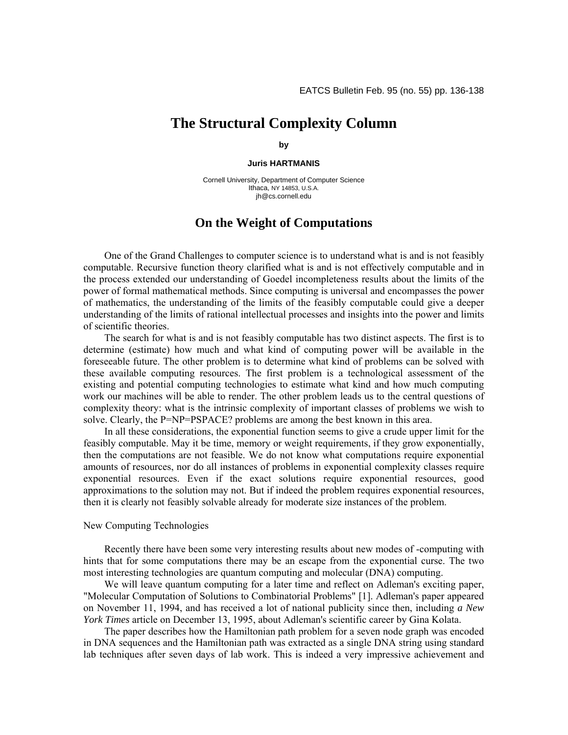## **The Structural Complexity Column**

**by** 

**Juris HARTMANIS** 

Cornell University, Department of Computer Science Ithaca, NY 14853, U.S.A. jh@cs.cornell.edu

## **On the Weight of Computations**

One of the Grand Challenges to computer science is to understand what is and is not feasibly computable. Recursive function theory clarified what is and is not effectively computable and in the process extended our understanding of Goedel incompleteness results about the limits of the power of formal mathematical methods. Since computing is universal and encompasses the power of mathematics, the understanding of the limits of the feasibly computable could give a deeper understanding of the limits of rational intellectual processes and insights into the power and limits of scientific theories.

The search for what is and is not feasibly computable has two distinct aspects. The first is to determine (estimate) how much and what kind of computing power will be available in the foreseeable future. The other problem is to determine what kind of problems can be solved with these available computing resources. The first problem is a technological assessment of the existing and potential computing technologies to estimate what kind and how much computing work our machines will be able to render. The other problem leads us to the central questions of complexity theory: what is the intrinsic complexity of important classes of problems we wish to solve. Clearly, the P=NP=PSPACE? problems are among the best known in this area.

In all these considerations, the exponential function seems to give a crude upper limit for the feasibly computable. May it be time, memory or weight requirements, if they grow exponentially, then the computations are not feasible. We do not know what computations require exponential amounts of resources, nor do all instances of problems in exponential complexity classes require exponential resources. Even if the exact solutions require exponential resources, good approximations to the solution may not. But if indeed the problem requires exponential resources, then it is clearly not feasibly solvable already for moderate size instances of the problem.

## New Computing Technologies

Recently there have been some very interesting results about new modes of -computing with hints that for some computations there may be an escape from the exponential curse. The two most interesting technologies are quantum computing and molecular (DNA) computing.

We will leave quantum computing for a later time and reflect on Adleman's exciting paper, "Molecular Computation of Solutions to Combinatorial Problems" [1]. Adleman's paper appeared on November 11, 1994, and has received a lot of national publicity since then, including *a New York Times* article on December 13, 1995, about Adleman's scientific career by Gina Kolata.

The paper describes how the Hamiltonian path problem for a seven node graph was encoded in DNA sequences and the Hamiltonian path was extracted as a single DNA string using standard lab techniques after seven days of lab work. This is indeed a very impressive achievement and